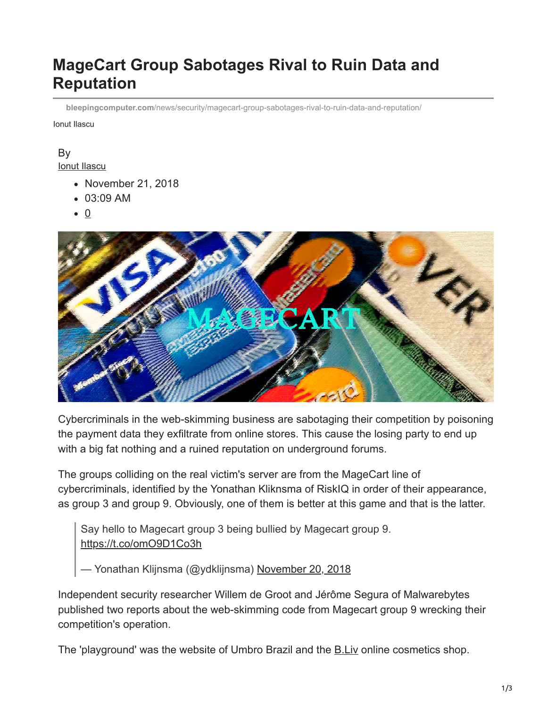# **MageCart Group Sabotages Rival to Ruin Data and Reputation**

**bleepingcomputer.com**[/news/security/magecart-group-sabotages-rival-to-ruin-data-and-reputation/](https://www.bleepingcomputer.com/news/security/magecart-group-sabotages-rival-to-ruin-data-and-reputation/)

Ionut Ilascu

#### By [Ionut Ilascu](https://www.bleepingcomputer.com/author/ionut-ilascu/)

- November 21, 2018
- 03:09 AM
- $\bullet$  0



Cybercriminals in the web-skimming business are sabotaging their competition by poisoning the payment data they exfiltrate from online stores. This cause the losing party to end up with a big fat nothing and a ruined reputation on underground forums.

The groups colliding on the real victim's server are from the MageCart line of cybercriminals, identified by the Yonathan Kliknsma of RiskIQ in order of their appearance, as group 3 and group 9. Obviously, one of them is better at this game and that is the latter.

Say hello to Magecart group 3 being bullied by Magecart group 9. <https://t.co/omO9D1Co3h>

— Yonathan Klijnsma (@ydklijnsma) [November 20, 2018](https://twitter.com/ydklijnsma/status/1064977845582127104?ref_src=twsrc%5Etfw)

Independent security researcher Willem de Groot and Jérôme Segura of Malwarebytes published two reports about the web-skimming code from Magecart group 9 wrecking their competition's operation.

The 'playground' was the website of Umbro Brazil and the **B.Liv online cosmetics shop.**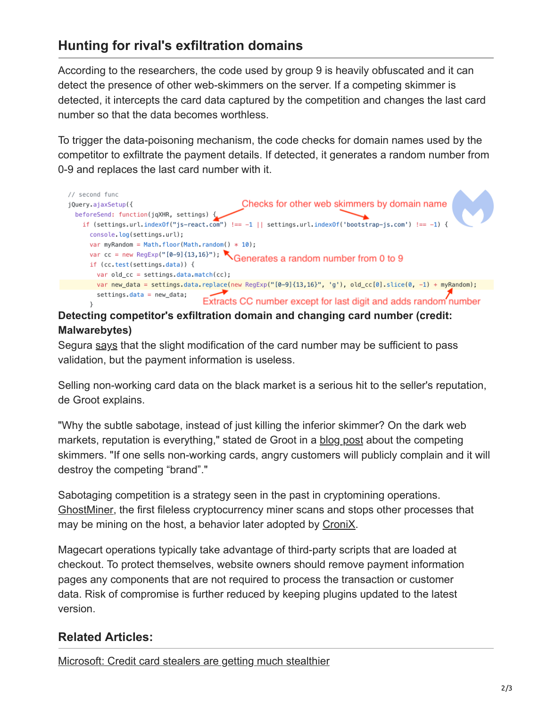## **Hunting for rival's exfiltration domains**

According to the researchers, the code used by group 9 is heavily obfuscated and it can detect the presence of other web-skimmers on the server. If a competing skimmer is detected, it intercepts the card data captured by the competition and changes the last card number so that the data becomes worthless.

To trigger the data-poisoning mechanism, the code checks for domain names used by the competitor to exfiltrate the payment details. If detected, it generates a random number from 0-9 and replaces the last card number with it.



### **Detecting competitor's exfiltration domain and changing card number (credit: Malwarebytes)**

Segura [says](https://blog.malwarebytes.com/threat-analysis/2018/11/web-skimmers-compete-umbro-brasil-hack/) that the slight modification of the card number may be sufficient to pass validation, but the payment information is useless.

Selling non-working card data on the black market is a serious hit to the seller's reputation, de Groot explains.

"Why the subtle sabotage, instead of just killing the inferior skimmer? On the dark web markets, reputation is everything," stated de Groot in a [blog post](http://gwillem.gitlab.io/2018/11/20/warring-magecart-factions/) about the competing skimmers. "If one sells non-working cards, angry customers will publicly complain and it will destroy the competing "brand"."

Sabotaging competition is a strategy seen in the past in cryptomining operations. [GhostMiner](https://www.bleepingcomputer.com/news/security/ghostminer-uses-fileless-techniques-removes-other-miners-but-makes-only-200/), the first fileless cryptocurrency miner scans and stops other processes that may be mining on the host, a behavior later adopted by [CroniX.](https://www.bleepingcomputer.com/news/security/cronix-cryptominer-kills-rivals-to-reign-supreme/)

Magecart operations typically take advantage of third-party scripts that are loaded at checkout. To protect themselves, website owners should remove payment information pages any components that are not required to process the transaction or customer data. Risk of compromise is further reduced by keeping plugins updated to the latest version.

### **Related Articles:**

[Microsoft: Credit card stealers are getting much stealthier](https://www.bleepingcomputer.com/news/security/microsoft-credit-card-stealers-are-getting-much-stealthier/)